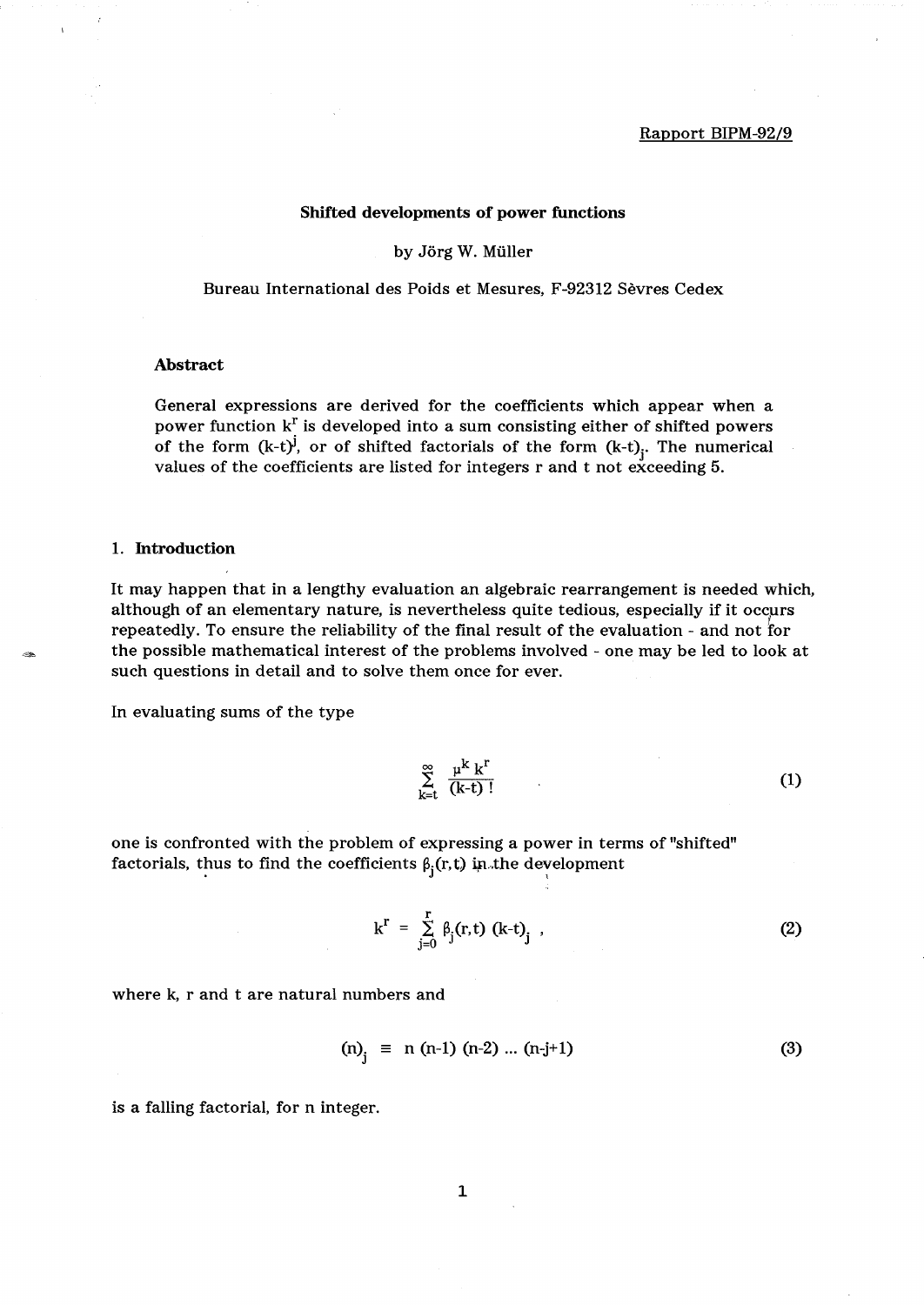#### Rapport BIPM-92/9

#### Shifted developments of power functions

#### by Jörg W. Müller

Bureau International des Poids et Mesures, F-92312 Sevres Cedex

#### Abstract

General expressions are derived for the coefficients which appear when a power function  $k^r$  is developed into a sum consisting either of shifted powers of the form  $(k-t)^j$ , or of shifted factorials of the form  $(k-t)$ . The numerical values of the coefficients are listed for integers rand t not exceeding 5.

#### 1. Introduction

It may happen that in a lengthy evaluation an algebraic rearrangement is needed which, although of an elementary nature, is nevertheless quite tedious, especially if it occurs repeatedly. To ensure the reliability of the final result of the evaluation - and not for the possible mathematical interest of the problems involved - one may be led to look at such questions in detail and to solve them once for ever.

In evaluating sums of the type

$$
\sum_{k=t}^{\infty} \frac{\mu^k k^r}{(k-t)!}
$$
 (1)

one is confronted with the problem of expressing a power in terms of "shifted" factorials, thus to find the coefficients  $\beta_i(r, t)$  in the development

$$
k^{r} = \sum_{j=0}^{r} \beta_{j}(r, t) (k-t)_{j} , \qquad (2)
$$

where k, r and t are natural numbers and

$$
(n)j \equiv n (n-1) (n-2) ... (n-j+1)
$$
 (3)

is a falling factorial, for n integer.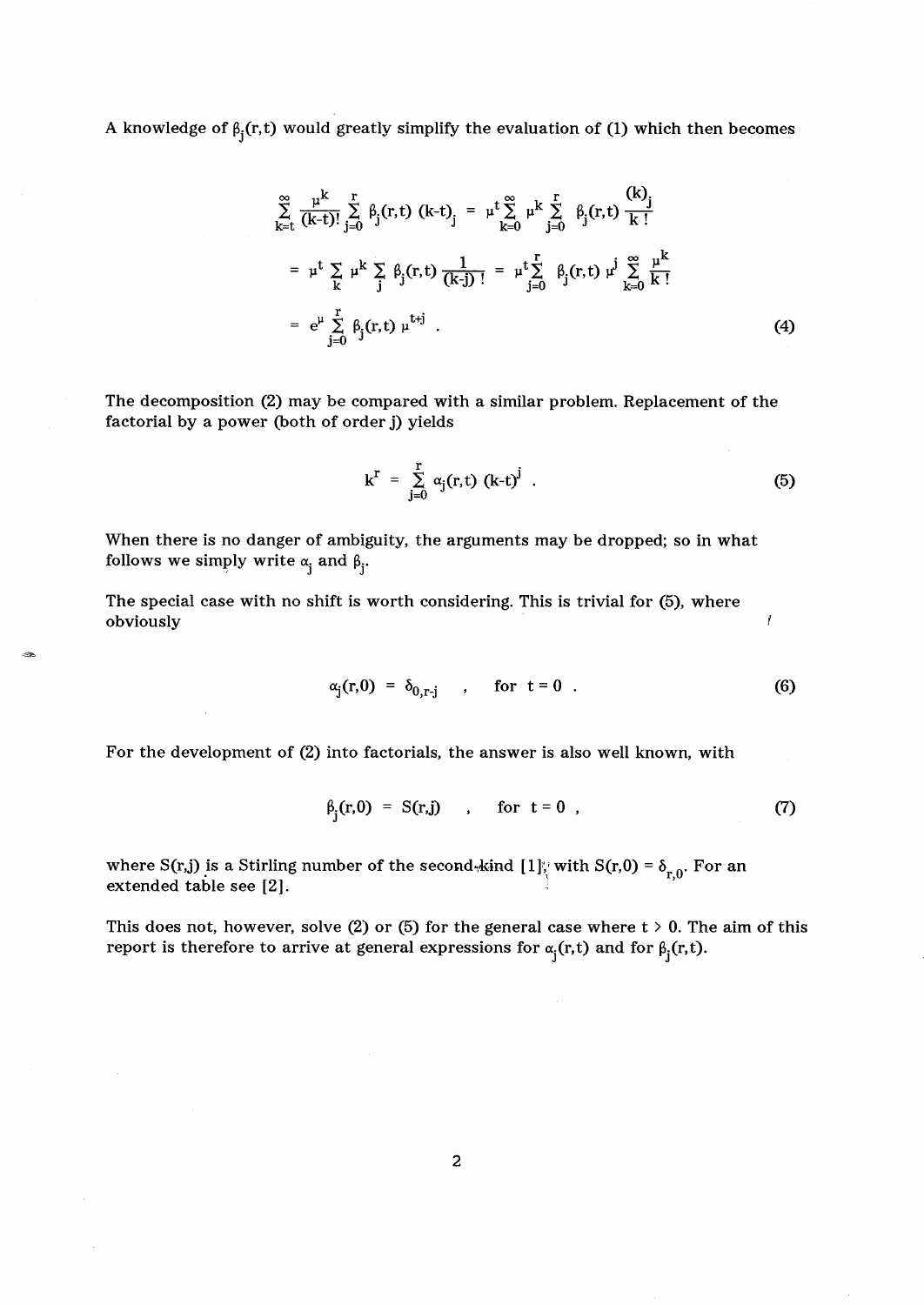A knowledge of 
$$
\beta_j(r,t)
$$
 would greatly simplify the evaluation of (1) which then becomes  
\n
$$
\sum_{k=1}^{\infty} \frac{\mu^k}{(k-t)!} \sum_{j=0}^r \beta_j(r,t) (k-t)_j = \mu^t \sum_{k=0}^{\infty} \mu^k \sum_{j=0}^r \beta_j(r,t) \frac{(k)_j}{k!}
$$
\n
$$
= \mu^t \sum_{k=0}^r \mu^k \sum_{j=0}^r \beta_j(r,t) \frac{1}{(k-j)!} = \mu^t \sum_{j=0}^r \beta_j(r,t) \mu^j \sum_{k=0}^{\infty} \frac{\mu^k}{k!}
$$
\n
$$
= e^{\mu} \sum_{j=0}^r \beta_j(r,t) \mu^{t+j} .
$$
\n(4)

The decomposition (2) may be compared with a similar problem. Replacement of the factorial by a power (both of order j) yields

$$
k^{r} = \sum_{j=0}^{r} \alpha_{j}(r, t) (k-t)^{j} . \qquad (5)
$$

Ĭ

When there is no danger of ambiguity, the arguments may be dropped; so in what follows we simply write  $\alpha_i$  and  $\beta_i$ .

The special case with no shift is worth considering. This is trivial for (5), where obviously

$$
\alpha_j(r,0) = \delta_{0,r-j} \qquad \text{for } t = 0 \tag{6}
$$

For the development of (2) into factorials, the answer is also well known, with

$$
\beta_j(r,0) = S(r,j) \qquad \text{for } t = 0 \tag{7}
$$

where S(r,j) is a Stirling number of the second-kind  $[1]$ ; with S(r,0) =  $\delta_{r,0}$ . For an  $\beta_j(r,0) = S(r,j)$ , for  $t = 0$ ,<br>where  $S(r,j)$  is a Stirling number of the second-kind  $[1]$ , with<br>extended table see [2].

This does not, however, solve (2) or (5) for the general case where  $t > 0$ . The aim of this report is therefore to arrive at general expressions for  $\alpha_j(r, t)$  and for  $\beta_j(r, t)$ .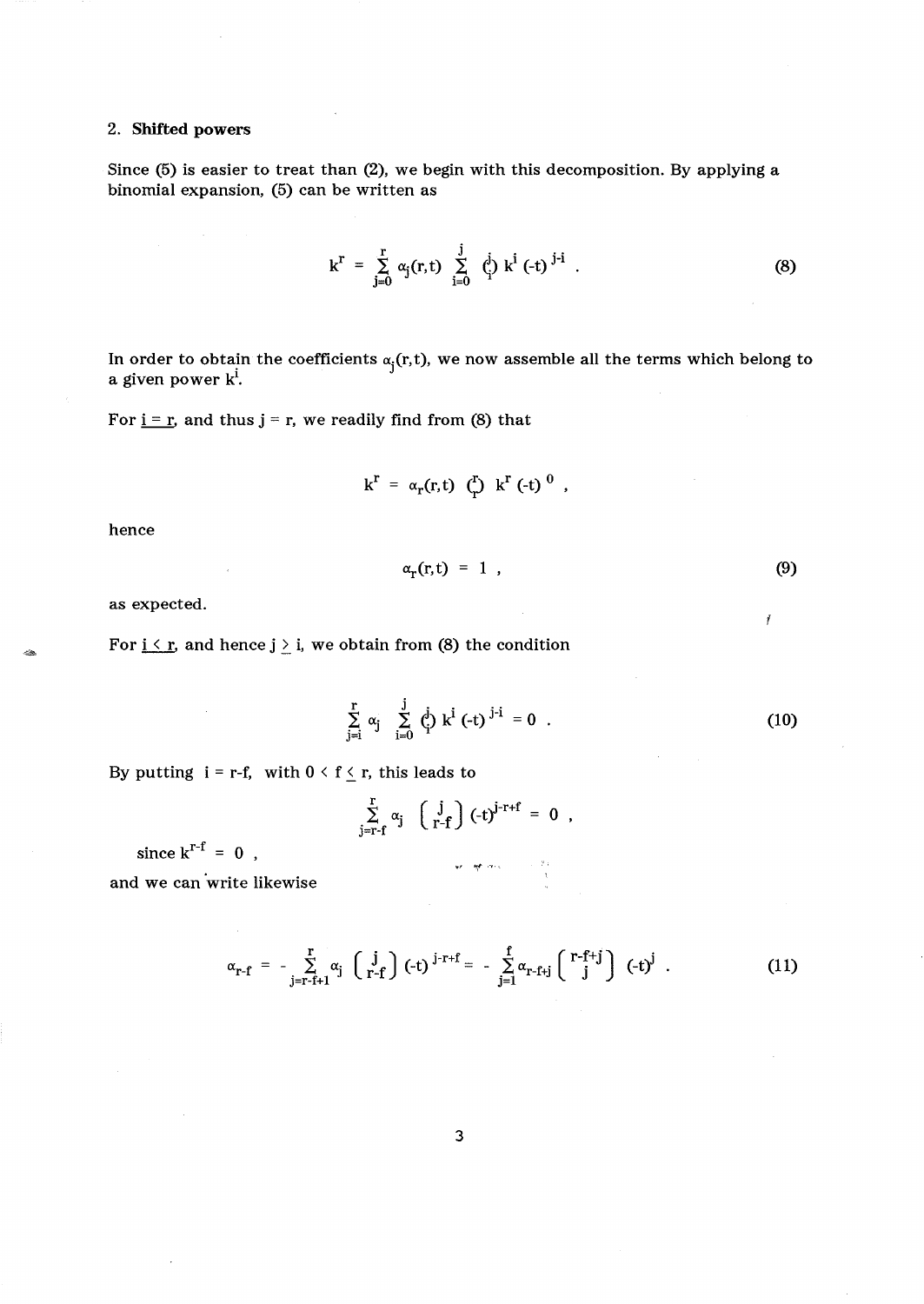# 2. Shifted powers

Since (5) is easier to treat than (2), we begin with this decomposition. By applying a binomial expansion, (5) can be written as

$$
k^{r} = \sum_{j=0}^{r} \alpha_{j}(r, t) \sum_{i=0}^{j} {i \choose i} k^{i} (-t)^{j-i}
$$
 (8)

In order to obtain the coefficients  $\alpha_j(r, t)$ , we now assemble all the terms which belong to a given power  $k^i$ .

For  $i = r$ , and thus  $j = r$ , we readily find from (8) that

$$
k^r = \alpha_r(r,t) \quad (\mathbf{r}) \quad k^r \quad (-t) \quad 0
$$

hence

$$
\alpha_{r}(r,t) = 1 \tag{9}
$$

ý

as expected.

For  $i \le r$ , and hence  $j \ge i$ , we obtain from (8) the condition

$$
\sum_{j=i}^{r} \alpha_j \sum_{i=0}^{j} \dot{\beta}_j k^{i} (-t)^{j-i} = 0 .
$$
 (10)

By putting  $i = r-f$ , with  $0 \le f \le r$ , this leads to

$$
\sum_{j=r-f}^{r} \alpha_j \quad \left(\begin{array}{c} j \\ r-f \end{array}\right) (-t)^{j-r+f} = 0 ,
$$

地理外

since  $k^{r-f} = 0$ ,

and we can write likewise

$$
\alpha_{r-f} = -\sum_{j=r-f+1}^{r} \alpha_j \, \left( \, \begin{array}{c} j \\ r-f \end{array} \right) \, (-t)^{j-r+f} = -\sum_{j=1}^{f} \alpha_{r-f+j} \left( \begin{array}{c} r-f+j \\ j \end{array} \right) \, (-t)^j \quad . \tag{11}
$$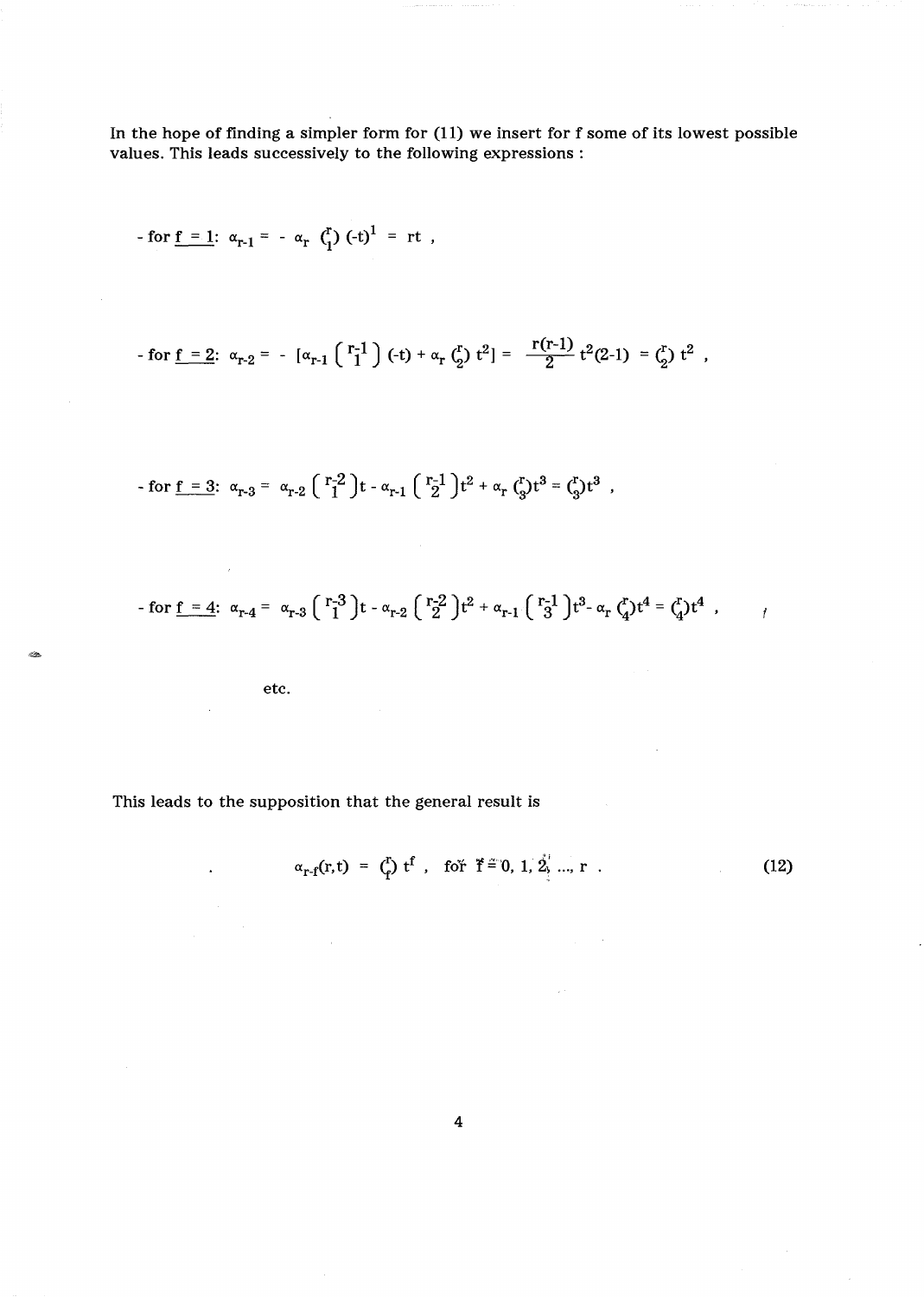In the hope of finding a simpler form for (11) we insert for f some of its lowest possible values. This leads successively to the following expressions:

- for f = 1: 
$$
\alpha_{r-1} = -\alpha_r \binom{r}{1} (-t)^1 = rt
$$
,  
\n- for f = 2:  $\alpha_{r-2} = -[\alpha_{r-1} \binom{r-1}{1} (-t) + \alpha_r \binom{r}{2} t^2] = \frac{r(r-1)}{2} t^2 (2-1) = \binom{r}{2} t^2$ ,  
\n- for f = 3:  $\alpha_{r-3} = \alpha_{r-2} \binom{r-2}{1} t - \alpha_{r-1} \binom{r-1}{2} t^2 + \alpha_r \binom{r}{3} t^3 = \binom{r}{3} t^3$ ,

$$
\text{ - for } \underline{f} = 4; \ \alpha_{r-4} = \alpha_{r-3} \left( \begin{array}{c} r-3 \\ 1 \end{array} \right) t - \alpha_{r-2} \left( \begin{array}{c} r-2 \\ 2 \end{array} \right) t^2 + \alpha_{r-1} \left( \begin{array}{c} r-1 \\ 3 \end{array} \right) t^3 - \alpha_r \, \zeta_1^r t^4 = \zeta_1^r t^4 \ , \qquad \qquad \gamma = \zeta_1^r t^4 + \zeta_2^r t^4 + \zeta_3^r t^3 + \zeta_4^r t^2 + \zeta_5^r t^3 + \zeta_6^r t^4 + \zeta_7^r t^2 + \zeta_7^r t^3 + \zeta_8^r t^2 + \zeta_9^r t^3 + \zeta_9^r t^4 + \zeta_9^r t^3 + \zeta_9^r t^4 + \zeta_9^r t^3 + \zeta_9^r t^2 + \zeta_9^r t^3 + \zeta_9^r t^4 + \zeta_9^r t^3 + \zeta_9^r t^4 + \zeta_9^r t^3 + \zeta_9^r t^2 + \zeta_9^r t^3 + \zeta_9^r t^4 + \zeta_9^r t^3 + \zeta_9^r t^4 + \zeta_9^r t^3 + \zeta_9^r t^4 + \zeta_9^r t^3 + \zeta_9^r t^2 + \zeta_9^r t^3 + \zeta_9^r t^2 + \zeta_9^r t^3 + \zeta_9^r t^2 + \zeta_9^r t^3 + \zeta_9^r t^3 + \zeta_9^r t^2 + \zeta_9^r t^3 + \zeta_9^r t^2 + \zeta_9^r t^3 + \zeta_9^r t^2 + \zeta_9^r t^2 + \zeta_9^r t^3 + \zeta_9^r t^2 + \zeta_9^r t^3 + \zeta_9^r t^3 + \zeta_9^r t^2 + \zeta_9^r t^3 + \zeta_9^r t^2 + \zeta_9^r t^3 + \zeta_9^r t^3 + \zeta_9^r t^3 + \zeta_9^r t^3 + \zeta_9^r t^3 + \zeta_9^r t^2 + \z
$$

 $\bar{\gamma}$ 

etc.

 $\mathcal{L}$ 

 $\bar{\gamma}$ 

 $\ddot{\phantom{a}}$ 

-

This leads to the supposition that the general result is

$$
\alpha_{r-f}(r,t) = {t \choose r} t^f, \text{ for } f = 0, 1, 2, ..., r .
$$
 (12)

 $\hat{\varphi}$  .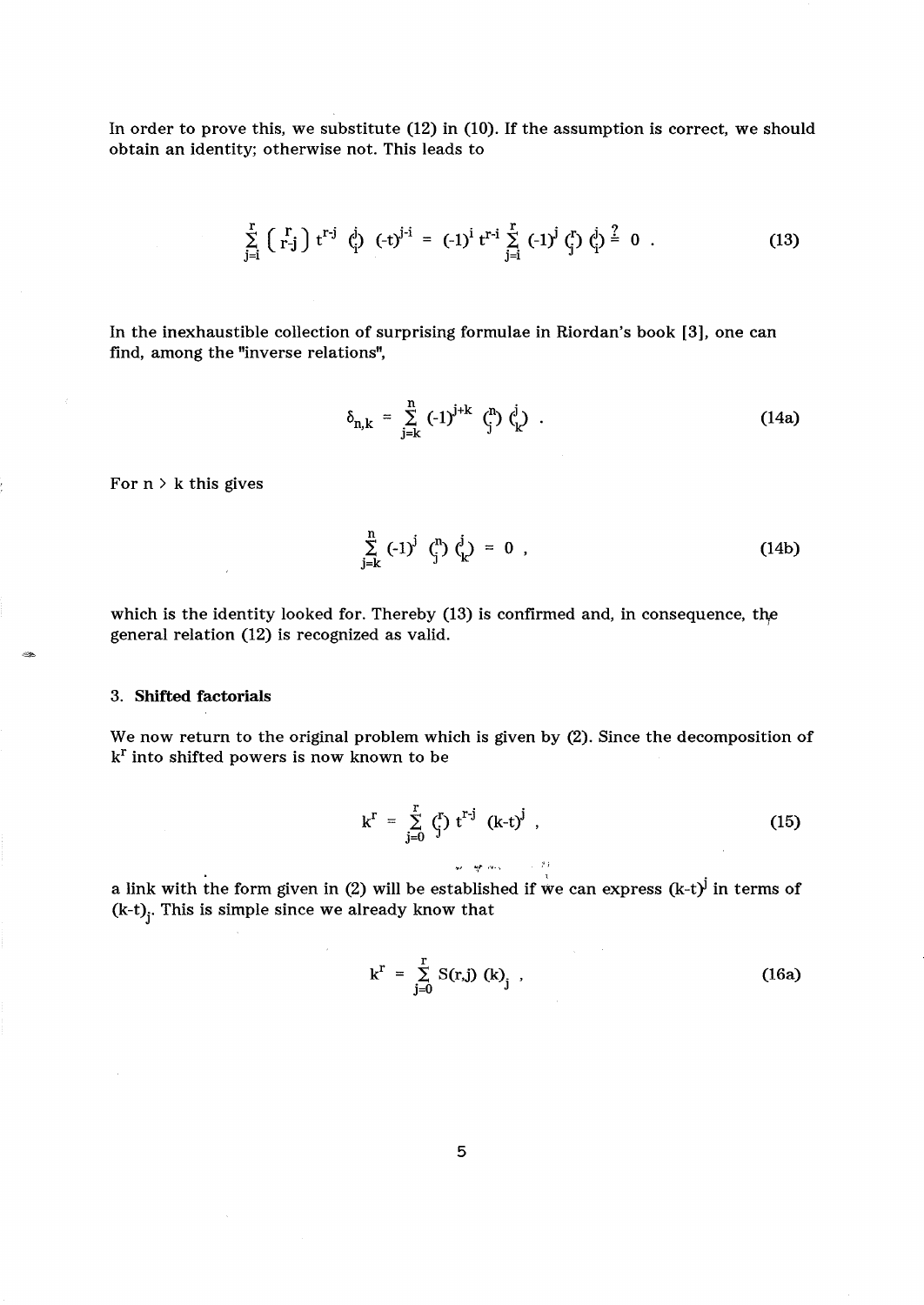In order to prove this, we substitute (12) in (10). If the assumption is correct, we should obtain an identity; otherwise not. This leads to

$$
\sum_{j=i}^{r} \binom{r}{r-j} t^{r-j} \dot{q}^{j} \left(-t\right)^{j-i} = (-1)^{i} t^{r-i} \sum_{j=i}^{r} (-1)^{j} \dot{q}^{r} \dot{q}^{j} \dot{q}^{j} = 0 \quad . \tag{13}
$$

In the inexhaustible collection of surprising formulae in Riordan's book [3], one can find, among the "inverse relations",

$$
\delta_{n,k} = \sum_{j=k}^{n} (-1)^{j+k} \, \zeta_j^n \, \zeta_k^j \quad . \tag{14a}
$$

For  $n > k$  this gives

$$
\sum_{j=k}^{n} (-1)^{j} \binom{n}{j} \binom{j}{k} = 0 \quad , \tag{14b}
$$

which is the identity looked for. Thereby (13) is confirmed and, in consequence, the general relation (12) is recognized as valid.

#### 3. Shifted factorials

We now return to the original problem which is given by (2). Since the decomposition of  $k<sup>r</sup>$  into shifted powers is now known to be

$$
k^{r} = \sum_{j=0}^{r} \binom{r}{j} t^{r-j} (k-t)^{j} , \qquad (15)
$$

a link with the form given in (2) will be established if we can express  $(k-t)^j$  in terms of  $(k-t)$ <sup>2</sup> This is simple since we already know that

wing and the 19

$$
k^{r} = \sum_{j=0}^{r} S(r,j) (k)_{j} , \qquad (16a)
$$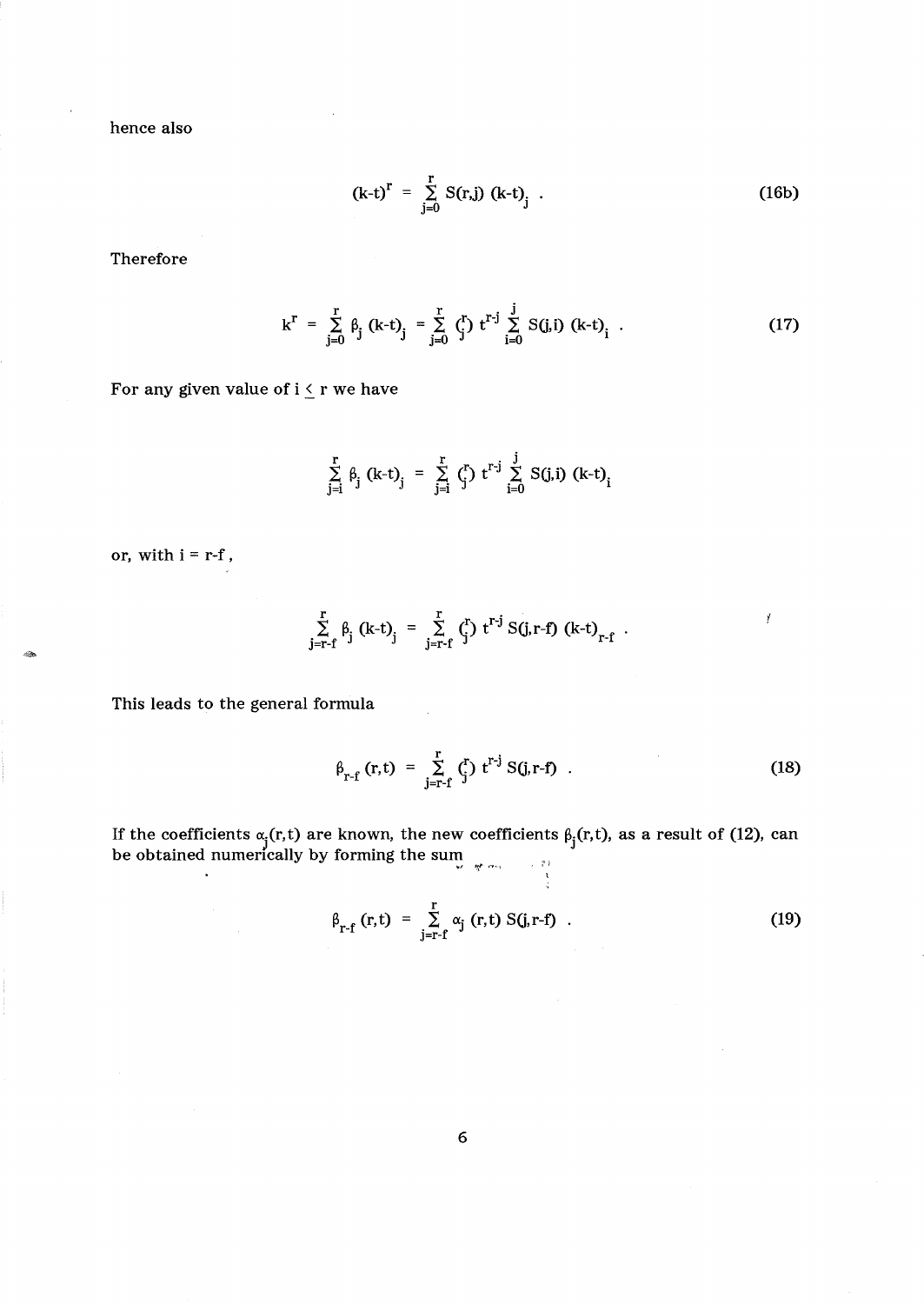hence also

$$
(k-t)^{r} = \sum_{j=0}^{r} S(r,j) (k-t)_{j} .
$$
 (16b)

Therefore

$$
k^{r} = \sum_{j=0}^{r} \beta_{j} (k-t)_{j} = \sum_{j=0}^{r} {r \choose j} t^{r-j} \sum_{i=0}^{j} S(j,i) (k-t)_{i}.
$$
 (17)

For any given value of  $i\leq r$  we have

$$
\sum_{j=i}^{r} \beta_j (k-t)_j = \sum_{j=i}^{r} \zeta_j^r t^{r-j} \sum_{i=0}^{j} S(j,i) (k-t)_i
$$

or, with  $\mathrm{i}$  = r-f ,

ولأثان

$$
\sum_{j=r-f}^{r} \beta_j (k-t)_j = \sum_{j=r-f}^{r} {r \choose j} t^{r-j} S(j,r-f) (k-t)_{r-f}.
$$

This leads to the general formula

 $\Delta \phi$ 

$$
\beta_{r-f} (r,t) = \sum_{j=r-f}^{r} {r \choose j} t^{r-j} S(j,r-f) .
$$
 (18)

Ĭ

If the coefficients  $\alpha_j(r, t)$  are known, the new coefficients  $\beta_j(r, t)$ , as a result of (12), can be obtained numerically by forming the sum

$$
\beta_{r-f}(r,t) = \sum_{j=r-f}^{r} \alpha_j(r,t) S(j,r-f) . \qquad (19)
$$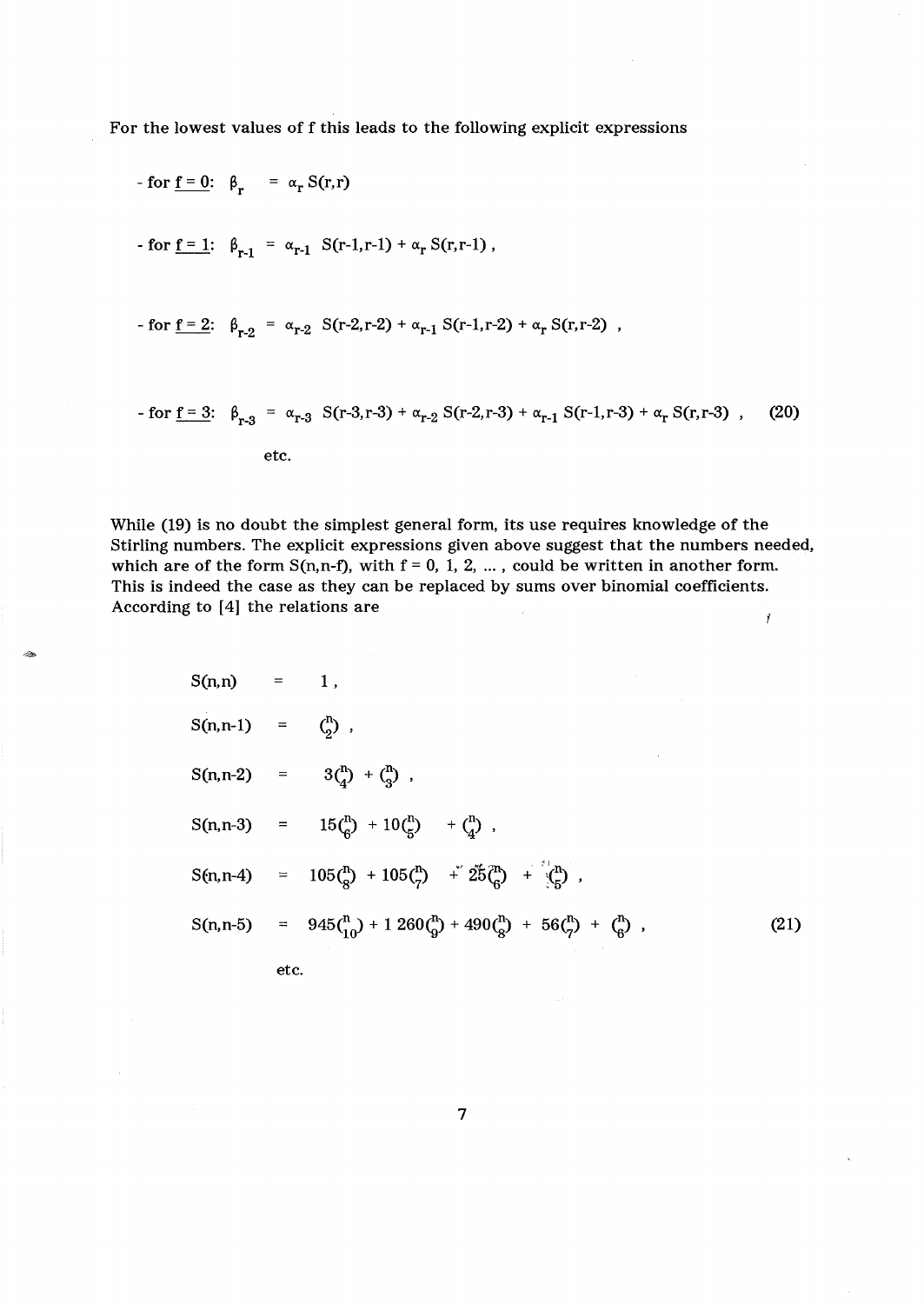For the lowest values of f this leads to the following explicit expressions

etc.

- for f = 0: 
$$
\beta_r
$$
 =  $\alpha_r S(r,r)$   
\n- for f = 1:  $\beta_{r-1}$  =  $\alpha_{r-1} S(r-1,r-1) + \alpha_r S(r,r-1)$ ,  
\n- for f = 2:  $\beta_{r-2}$  =  $\alpha_{r-2} S(r-2,r-2) + \alpha_{r-1} S(r-1,r-2) + \alpha_r S(r,r-2)$ ,  
\n- for f = 3:  $\beta_{r-3}$  =  $\alpha_{r-3} S(r-3,r-3) + \alpha_{r-2} S(r-2,r-3) + \alpha_{r-1} S(r-1,r-3) + \alpha_r S(r,r-3)$ , (20)

While (19) is no doubt the simplest general form, its use requires knowledge of the Stirling numbers. The explicit expressions given above suggest that the numbers needed, which are of the form  $S(n, n-f)$ , with  $f = 0, 1, 2, ...$ , could be written in another form. This is indeed the case as they can be replaced by sums over binomial coefficients. According to [4] the relations are  $\overline{I}$ 

--

$$
S(n,n) = 1,
$$
  
\n
$$
S(n,n-1) = {n \choose 2},
$$
  
\n
$$
S(n,n-2) = 3{n \choose 4} + {n \choose 3},
$$
  
\n
$$
S(n,n-3) = 15{n \choose 6} + 10{n \choose 5} + {n \choose 4},
$$
  
\n
$$
S(n,n-4) = 105{n \choose 8} + 105{n \choose 7} + 25{n \choose 6} + 1{n \choose 5},
$$
  
\n
$$
S(n,n-5) = 945{n \choose 10} + 1260{n \choose 9} + 490{n \choose 8} + 56{n \choose 7} + {n \choose 6},
$$
  
\netc. (21)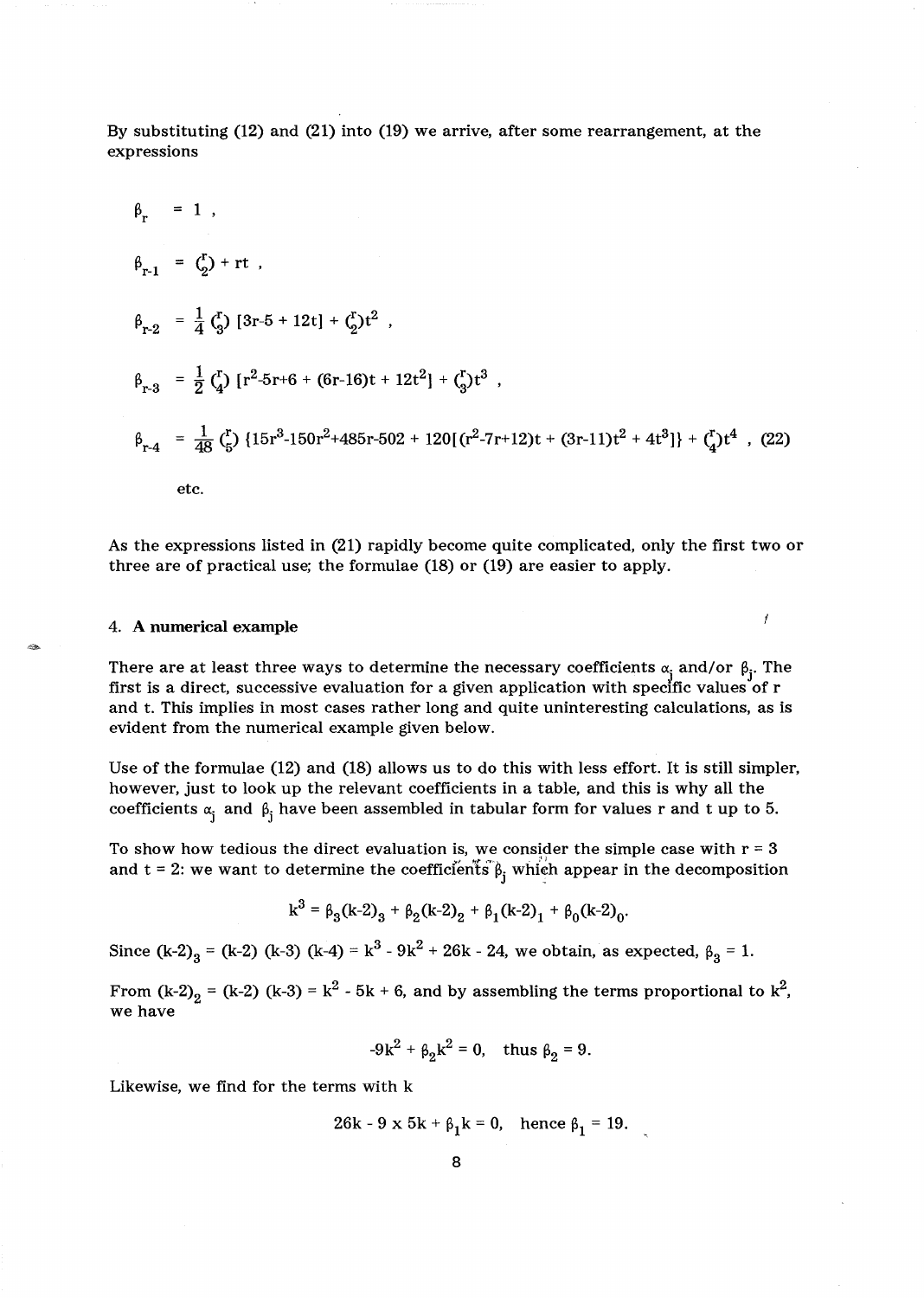By substituting (12) and (21) into (19) we arrive, after some rearrangement, at the expressions

$$
\beta_{r} = 1 ,
$$
\n
$$
\beta_{r-1} = \binom{r}{2} + rt ,
$$
\n
$$
\beta_{r-2} = \frac{1}{4} \binom{r}{3} \left[ 3r - 5 + 12t \right] + \binom{r}{2} t^2 ,
$$
\n
$$
\beta_{r-3} = \frac{1}{2} \binom{r}{4} \left[ r^2 - 5r + 6 + (6r - 16)t + 12t^2 \right] + \binom{r}{3} t^3 ,
$$
\n
$$
\beta_{r-4} = \frac{1}{48} \binom{r}{5} \left\{ 15r^3 - 150r^2 + 485r - 502 + 120 \left[ \binom{r^2 - 7r + 12}{r} + (3r - 11)t^2 + 4t^3 \right] \right\} + \binom{r}{4} t^4 ,
$$
\n(22)

\netc.

As the expressions listed in (21) rapidly become quite complicated, only the first two or three are of practical use; the formulae (18) or (19) are easier to apply.

ľ

### 4. A **numerical example**

There are at least three ways to determine the necessary coefficients  $\alpha_j$  and/or  $\beta_j$ . The first is a direct, successive evaluation for a given application with specific values of r and t. This implies in most cases rather long and quite uninteresting calculations, as is evident from the numerical example given below.

Use of the formulae (12) and (18) allows us to do this with less effort. It is still simpler, however, just to look up the relevant coefficients in a table, and this is why all the coefficients  $\alpha_i$  and  $\beta_i$  have been assembled in tabular form for values r and t up to 5.

To show how tedious the direct evaluation is, we consider the simple case with  $r = 3$ and  $t = 2$ : we want to determine the coefficients  $\beta_i$  which appear in the decomposition

$$
k^3 = \beta_3(k-2)_3 + \beta_2(k-2)_2 + \beta_1(k-2)_1 + \beta_0(k-2)_0.
$$

Since  $(k-2)_3 = (k-2) (k-3) (k-4) = k^3 - 9k^2 + 26k - 24$ , we obtain, as expected,  $\beta_3 = 1$ .

From (k-2)<sub>2</sub> = (k-2) (k-3) = k<sup>2</sup> - 5k + 6, and by assembling the terms proportional to k<sup>2</sup>, we have

$$
-9k^2 + \beta_2 k^2 = 0
$$
, thus  $\beta_2 = 9$ .

Likewise, we find for the terms with k

$$
26k - 9 \times 5k + \beta_1 k = 0, \text{ hence } \beta_1 = 19.
$$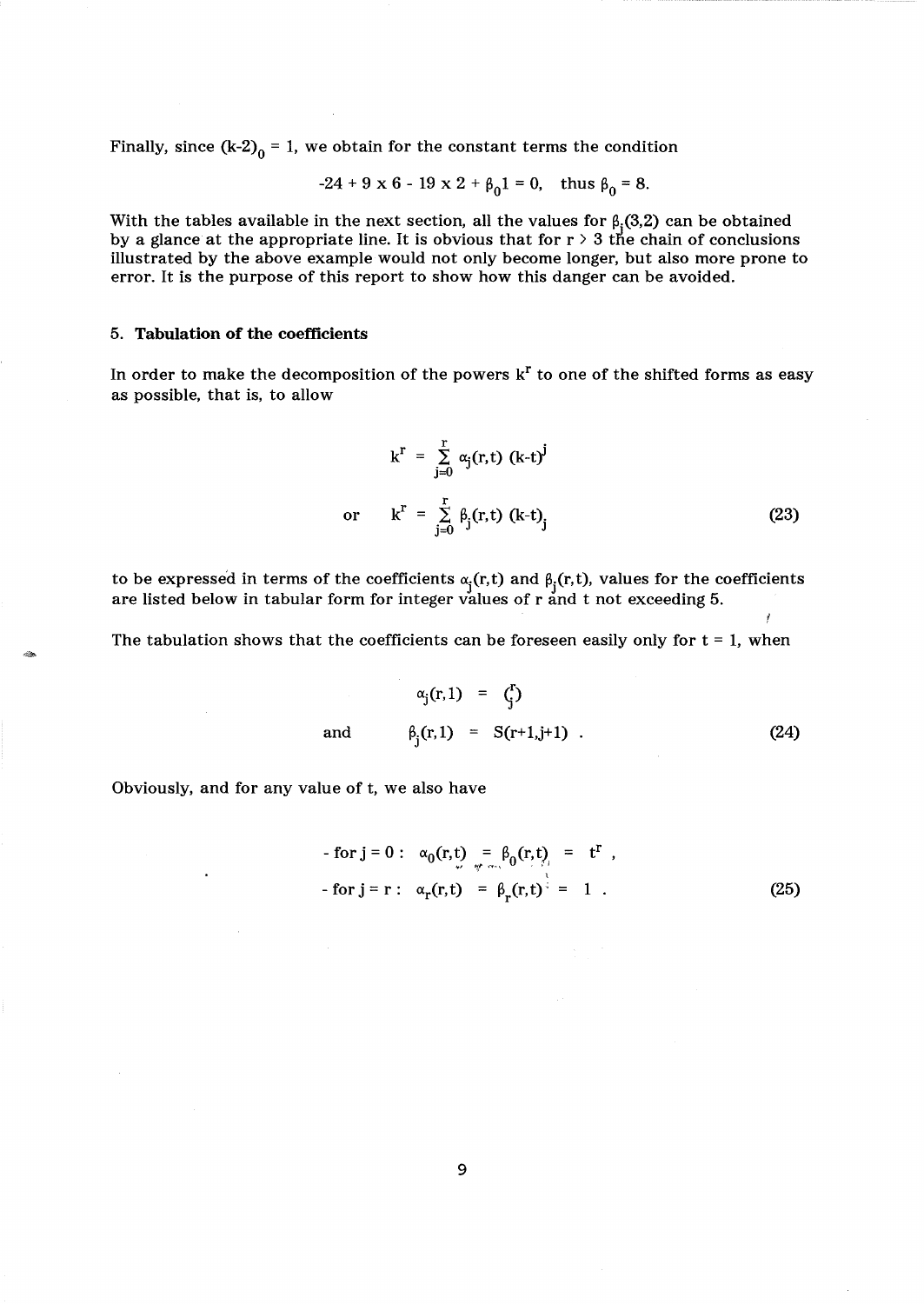Finally, since  $(k-2)_0 = 1$ , we obtain for the constant terms the condition

$$
-24 + 9 \times 6 - 19 \times 2 + \beta_0 1 = 0
$$
, thus  $\beta_0 = 8$ .

With the tables available in the next section, all the values for  $\beta$ <sub>j</sub>(3,2) can be obtained by a glance at the appropriate line. It is obvious that for  $r > 3$  the chain of conclusions illustrated by the above example would not only become longer, but also more prone to error. It is the purpose of this report to show how this danger can be avoided.

#### 5. Tabulation of the coefficients

In order to make the decomposition of the powers  $k^r$  to one of the shifted forms as easy as possible, that is, to allow

$$
k^{r} = \sum_{j=0}^{r} \alpha_{j}(r, t) (k-t)^{j}
$$
  
or 
$$
k^{r} = \sum_{j=0}^{r} \beta_{j}(r, t) (k-t)_{j}
$$
 (23)

to be expressed in terms of the coefficients  $\alpha_i(r, t)$  and  $\beta_i(r, t)$ , values for the coefficients are listed below in tabular form for integer values of  $r$  and  $t$  not exceeding 5.

The tabulation shows that the coefficients can be foreseen easily only for  $t = 1$ , when

$$
\alpha_j(r,1) = {r \choose j}
$$
  
and 
$$
\beta_j(r,1) = S(r+1,j+1) .
$$
 (24)

Obviously, and for any value of t, we also have

- for 
$$
j = 0
$$
:  $\alpha_0(r, t) = \beta_0(r, t) = t^r$ ,  
- for  $j = r$ :  $\alpha_r(r, t) = \beta_r(r, t)^{\frac{1}{2}} = 1$ . (25)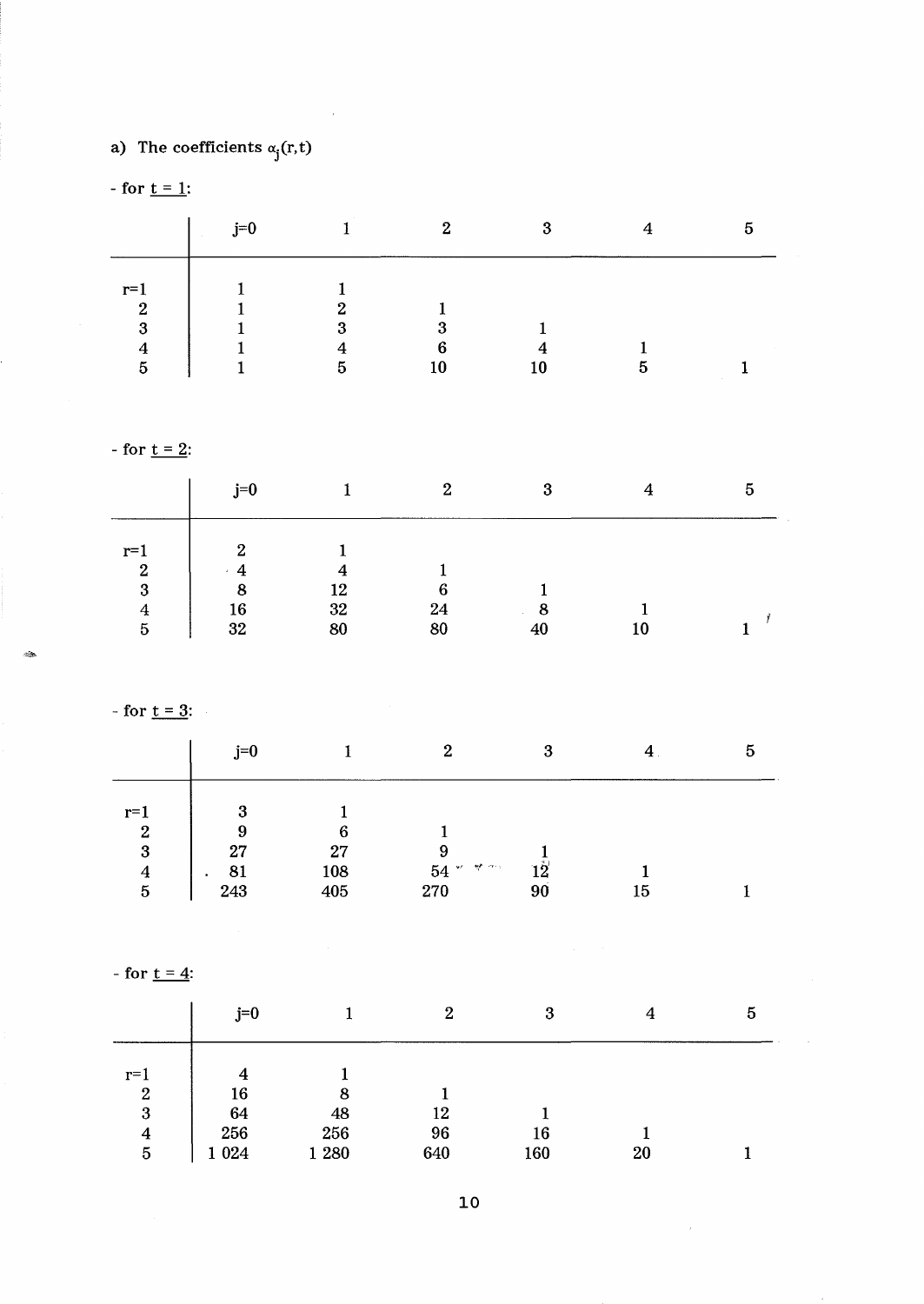# a) The coefficients  $\alpha_j(r,t)$

- for  $t = 1$ :

|                | $j=0$<br><b>COLLA</b> |    | $\overline{2}$ | റ  |   | 5 |
|----------------|-----------------------|----|----------------|----|---|---|
| $r=$<br>ົ<br>∼ |                       | 61 |                |    |   |   |
| 3              |                       | 2  |                |    |   |   |
| બ              |                       |    | 6              |    |   |   |
| 5              |                       | b  |                | 10 | อ |   |

- for  $t = 2$ :

|                | $j=0$          |    | $\overline{2}$ | 3      |    | Ð |
|----------------|----------------|----|----------------|--------|----|---|
| $r=1$          | $\overline{2}$ |    |                |        |    |   |
| $\overline{2}$ | 4              |    |                |        |    |   |
| 3              | 8              | 12 | 6              |        |    |   |
| 4              | 16             | 32 | 24             | o<br>о |    |   |
| $\overline{5}$ | 32             | 80 | 80             | 40     | 10 |   |

- for  $t = 3$ :

 $\mathcal{L}_R$ 

|                  | $j=0$ |     | ິ              | റ        |    | Ð |
|------------------|-------|-----|----------------|----------|----|---|
| $r=1$            | റ     |     |                |          |    |   |
| $\boldsymbol{2}$ | 9     | 6   |                |          |    |   |
| $\boldsymbol{3}$ | 27    | 27  |                |          |    |   |
| 4                | 81    | 108 | कर एक लग<br>54 | $12^{-}$ |    |   |
| $\overline{5}$   | 243   | 405 | 270            | 90       | 15 |   |

- for  $t = 4$ :

|                  | $j=0$   |       | $\overline{2}$ | 3   | 4  | 5 |
|------------------|---------|-------|----------------|-----|----|---|
| $r=1$            | 4       |       |                |     |    |   |
| $\boldsymbol{2}$ | 16      | 8     |                |     |    |   |
| 3                | 64      | 48    | 12             |     |    |   |
| 4                | 256     | 256   | 96             | 16  |    |   |
| 5                | 1 0 2 4 | 1 280 | 640            | 160 | 20 |   |

 $\bar{\bar{z}}$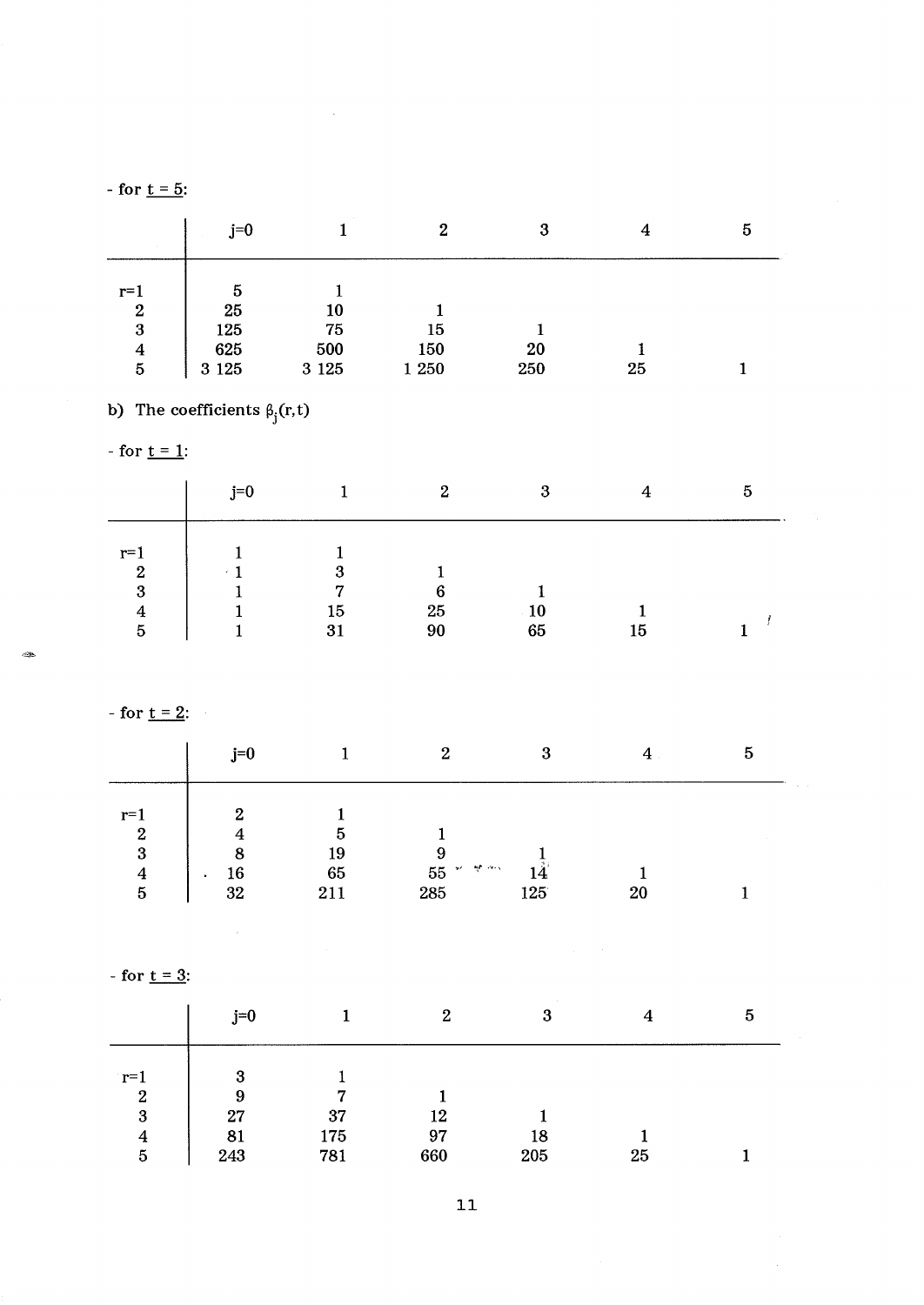- for  $t = 5$ :

|                                    | $j=0$            |                | 2            | 3         |    | 5 |
|------------------------------------|------------------|----------------|--------------|-----------|----|---|
| $r=1$                              | $\overline{5}$   |                |              |           |    |   |
| $\overline{2}$<br>3                | <b>25</b><br>125 | 10<br>75       | 15           |           |    |   |
| $\boldsymbol{4}$<br>$\overline{5}$ | 625<br>3 1 2 5   | 500<br>3 1 2 5 | 150<br>1 250 | 20<br>250 | 25 |   |

b) The coefficients  $\beta_j(r,t)$ 

- for  $t = 1$ :

|                  | $j=0$ |    | $\mathbf{2}$ | ຊ<br>ю |    | 5 |
|------------------|-------|----|--------------|--------|----|---|
| $r=$             |       |    |              |        |    |   |
| $\boldsymbol{2}$ |       | 3  |              |        |    |   |
| 3                |       | ~  | 6            |        |    |   |
| 4                |       | 15 | 25           | 10     |    |   |
| 5                |       | 31 | 90           | 65     | 15 |   |

- for  $t = 2$ :

|                                                                      | j=0                       |                 | ິ                                     |     |         | 5 |
|----------------------------------------------------------------------|---------------------------|-----------------|---------------------------------------|-----|---------|---|
| $r=1$<br>$\boldsymbol{2}$<br>3<br>$\overline{\mathbf{4}}$<br>$\bf 5$ | 2<br>8<br>$\frac{16}{32}$ | 19<br>65<br>211 | ं कर गानुषी लगभग<br>${\bf 55}$<br>285 | 125 | $_{20}$ |   |

- for  $t = 3$ :

 $\label{eq:2.1} \frac{1}{\sqrt{2}}\sum_{i=1}^n\frac{1}{\sqrt{2}}\sum_{i=1}^n\frac{1}{\sqrt{2}}\sum_{i=1}^n\frac{1}{\sqrt{2}}\sum_{i=1}^n\frac{1}{\sqrt{2}}\sum_{i=1}^n\frac{1}{\sqrt{2}}\sum_{i=1}^n\frac{1}{\sqrt{2}}\sum_{i=1}^n\frac{1}{\sqrt{2}}\sum_{i=1}^n\frac{1}{\sqrt{2}}\sum_{i=1}^n\frac{1}{\sqrt{2}}\sum_{i=1}^n\frac{1}{\sqrt{2}}\sum_{i=1}^n\frac$ 

|                           | $j=0$  |     | $\mathbf{2}$ | 3   | 4  | 5 |
|---------------------------|--------|-----|--------------|-----|----|---|
| $r=1$<br>$\boldsymbol{2}$ | 3<br>9 | 7   |              |     |    |   |
| $\boldsymbol{3}$          | 27     | 37  | 12           |     |    |   |
| 4                         | 81     | 175 | 97           | 18  |    |   |
| $\mathbf{5}$              | 243    | 781 | 660          | 205 | 25 |   |